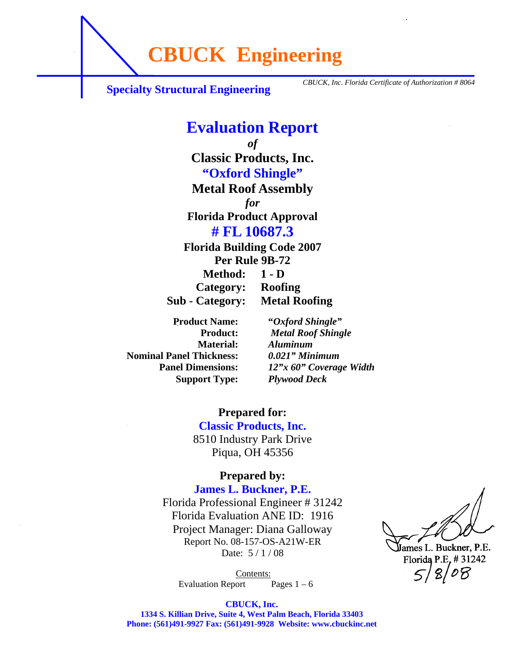**CBUCK Engineering**

**Specialty Structural Engineering** *CBUCK, Inc. Florida Certificate of Authorization # 8064* 

#### **Evaluation Report**  *of*  **Classic Products, Inc. "Oxford Shingle" Metal Roof Assembly**  *for*  **Florida Product Approval # FL 10687.3 Florida Building Code 2007 Per Rule 9B-72 Method: 1 - D Category: Roofing Sub - Category: Metal Roofing**

 **Material:** *Aluminum* **Nominal Panel Thickness:** *0.021" Minimum*   **Support Type:** *Plywood Deck* 

 **Product Name: "***Oxford Shingle"*  **Product:** *Metal Roof Shingle* **Panel Dimensions:** *12"x 60" Coverage Width* 

> **Prepared for: Classic Products, Inc.**  8510 Industry Park Drive Piqua, OH 45356

#### **Prepared by:**

**James L. Buckner, P.E.**  Florida Professional Engineer # 31242 Florida Evaluation ANE ID: 1916 Project Manager: Diana Galloway

> Report No. 08-157-OS-A21W-ER Date:  $5/1/08$

*Contents:* Evaluation Report Pages  $1 - 6$ 

**IJames L. Buckner, P.E.** Florida P.E. # 31242  $8/08$ 

**CBUCK, Inc.** 

**1334 S. Killian Drive, Suite 4, West Palm Beach, Florida 33403 Phone: (561)491-9927 Fax: (561)491-9928 Website: www.cbuckinc.net**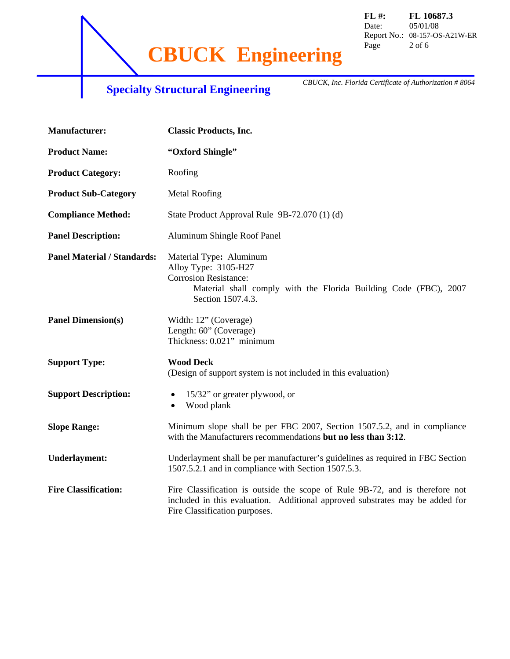**CBUCK Engineering** Page 2 of 6

# **Specialty Structural Engineering** *CBUCK, Inc. Florida Certificate of Authorization # 8064*

| <b>Manufacturer:</b>               | <b>Classic Products, Inc.</b>                                                                                                                                                                 |
|------------------------------------|-----------------------------------------------------------------------------------------------------------------------------------------------------------------------------------------------|
| <b>Product Name:</b>               | "Oxford Shingle"                                                                                                                                                                              |
| <b>Product Category:</b>           | Roofing                                                                                                                                                                                       |
| <b>Product Sub-Category</b>        | <b>Metal Roofing</b>                                                                                                                                                                          |
| <b>Compliance Method:</b>          | State Product Approval Rule 9B-72.070 (1) (d)                                                                                                                                                 |
| <b>Panel Description:</b>          | Aluminum Shingle Roof Panel                                                                                                                                                                   |
| <b>Panel Material / Standards:</b> | Material Type: Aluminum<br>Alloy Type: 3105-H27<br><b>Corrosion Resistance:</b><br>Material shall comply with the Florida Building Code (FBC), 2007<br>Section 1507.4.3.                      |
| <b>Panel Dimension(s)</b>          | Width: 12" (Coverage)<br>Length: 60" (Coverage)<br>Thickness: 0.021" minimum                                                                                                                  |
| <b>Support Type:</b>               | <b>Wood Deck</b><br>(Design of support system is not included in this evaluation)                                                                                                             |
| <b>Support Description:</b>        | 15/32" or greater plywood, or<br>$\bullet$<br>Wood plank<br>$\bullet$                                                                                                                         |
| <b>Slope Range:</b>                | Minimum slope shall be per FBC 2007, Section 1507.5.2, and in compliance<br>with the Manufacturers recommendations but no less than 3:12.                                                     |
| <b>Underlayment:</b>               | Underlayment shall be per manufacturer's guidelines as required in FBC Section<br>1507.5.2.1 and in compliance with Section 1507.5.3.                                                         |
| <b>Fire Classification:</b>        | Fire Classification is outside the scope of Rule 9B-72, and is therefore not<br>included in this evaluation. Additional approved substrates may be added for<br>Fire Classification purposes. |

**FL #: FL 10687.3**  Date: 05/01/08 Report No.: 08-157-OS-A21W-ER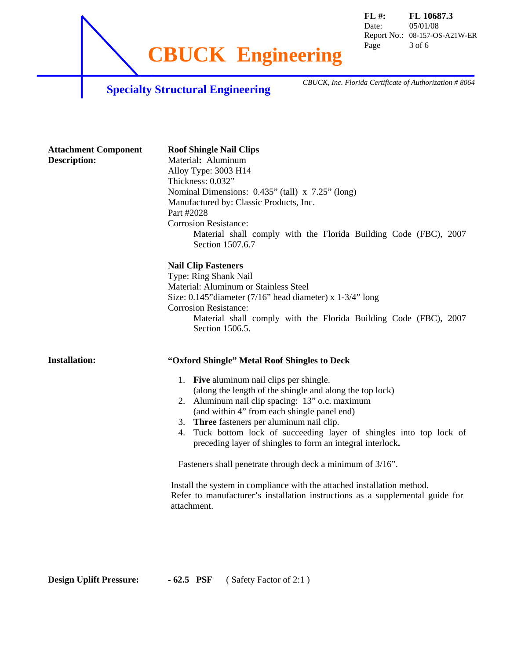**CBUCK Engineering** Page 3 of 6

**FL #: FL 10687.3**  Date: 05/01/08 Report No.: 08-157-OS-A21W-ER

## **Specialty Structural Engineering** *CBUCK, Inc. Florida Certificate of Authorization # 8064*

| <b>Attachment Component</b><br><b>Description:</b> | <b>Roof Shingle Nail Clips</b><br>Material: Aluminum<br>Alloy Type: 3003 H14<br>Thickness: 0.032"<br>Nominal Dimensions: 0.435" (tall) x 7.25" (long)<br>Manufactured by: Classic Products, Inc.<br>Part #2028<br><b>Corrosion Resistance:</b><br>Material shall comply with the Florida Building Code (FBC), 2007<br>Section 1507.6.7                                                                                                                                                                                                                                                                                                                                                 |
|----------------------------------------------------|----------------------------------------------------------------------------------------------------------------------------------------------------------------------------------------------------------------------------------------------------------------------------------------------------------------------------------------------------------------------------------------------------------------------------------------------------------------------------------------------------------------------------------------------------------------------------------------------------------------------------------------------------------------------------------------|
|                                                    | <b>Nail Clip Fasteners</b><br>Type: Ring Shank Nail<br>Material: Aluminum or Stainless Steel<br>Size: $0.145$ "diameter (7/16" head diameter) x $1-3/4$ " long<br><b>Corrosion Resistance:</b><br>Material shall comply with the Florida Building Code (FBC), 2007<br>Section 1506.5.                                                                                                                                                                                                                                                                                                                                                                                                  |
| <b>Installation:</b>                               | "Oxford Shingle" Metal Roof Shingles to Deck<br>1. Five aluminum nail clips per shingle.<br>(along the length of the shingle and along the top lock)<br>2. Aluminum nail clip spacing: 13" o.c. maximum<br>(and within 4" from each shingle panel end)<br>3. Three fasteners per aluminum nail clip.<br>Tuck bottom lock of succeeding layer of shingles into top lock of<br>4.<br>preceding layer of shingles to form an integral interlock.<br>Fasteners shall penetrate through deck a minimum of 3/16".<br>Install the system in compliance with the attached installation method.<br>Refer to manufacturer's installation instructions as a supplemental guide for<br>attachment. |

**Design Uplift Pressure:** - 62.5 PSF ( Safety Factor of 2:1 )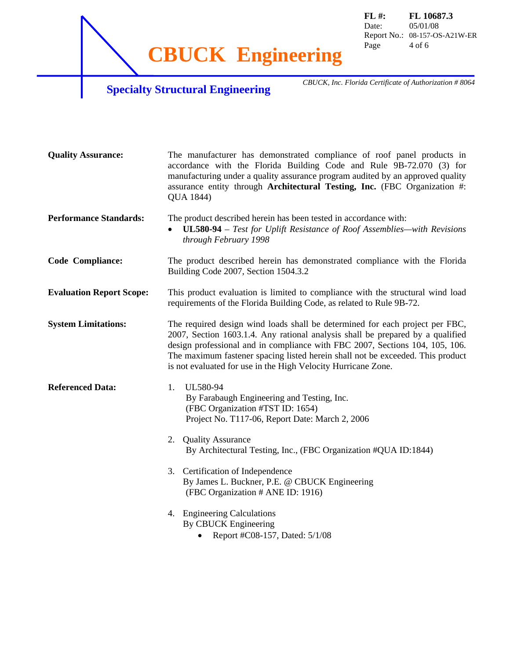**CBUCK Engineering** Page 4 of 6

**FL #: FL 10687.3**  Date: 05/01/08 Report No.: 08-157-OS-A21W-ER

# **Specialty Structural Engineering** *CBUCK, Inc. Florida Certificate of Authorization # 8064*

| <b>Quality Assurance:</b>       | The manufacturer has demonstrated compliance of roof panel products in<br>accordance with the Florida Building Code and Rule 9B-72.070 (3) for<br>manufacturing under a quality assurance program audited by an approved quality<br>assurance entity through Architectural Testing, Inc. (FBC Organization #:<br>QUA 1844)                                                                        |
|---------------------------------|---------------------------------------------------------------------------------------------------------------------------------------------------------------------------------------------------------------------------------------------------------------------------------------------------------------------------------------------------------------------------------------------------|
| <b>Performance Standards:</b>   | The product described herein has been tested in accordance with:<br>UL580-94 - Test for Uplift Resistance of Roof Assemblies-with Revisions<br>through February 1998                                                                                                                                                                                                                              |
| <b>Code Compliance:</b>         | The product described herein has demonstrated compliance with the Florida<br>Building Code 2007, Section 1504.3.2                                                                                                                                                                                                                                                                                 |
| <b>Evaluation Report Scope:</b> | This product evaluation is limited to compliance with the structural wind load<br>requirements of the Florida Building Code, as related to Rule 9B-72.                                                                                                                                                                                                                                            |
| <b>System Limitations:</b>      | The required design wind loads shall be determined for each project per FBC,<br>2007, Section 1603.1.4. Any rational analysis shall be prepared by a qualified<br>design professional and in compliance with FBC 2007, Sections 104, 105, 106.<br>The maximum fastener spacing listed herein shall not be exceeded. This product<br>is not evaluated for use in the High Velocity Hurricane Zone. |
| <b>Referenced Data:</b>         | UL580-94<br>1.<br>By Farabaugh Engineering and Testing, Inc.<br>(FBC Organization #TST ID: 1654)<br>Project No. T117-06, Report Date: March 2, 2006                                                                                                                                                                                                                                               |
|                                 | 2. Quality Assurance<br>By Architectural Testing, Inc., (FBC Organization #QUA ID:1844)                                                                                                                                                                                                                                                                                                           |
|                                 | 3. Certification of Independence<br>By James L. Buckner, P.E. @ CBUCK Engineering<br>(FBC Organization # ANE ID: 1916)                                                                                                                                                                                                                                                                            |
|                                 | 4. Engineering Calculations<br>By CBUCK Engineering<br>Report #C08-157, Dated: 5/1/08                                                                                                                                                                                                                                                                                                             |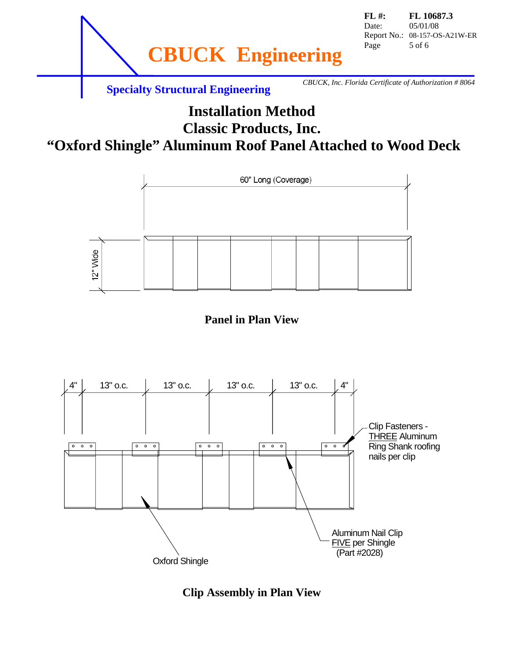

#### **Installation Method Classic Products, Inc. "Oxford Shingle" Aluminum Roof Panel Attached to Wood Deck**







**Clip Assembly in Plan View**